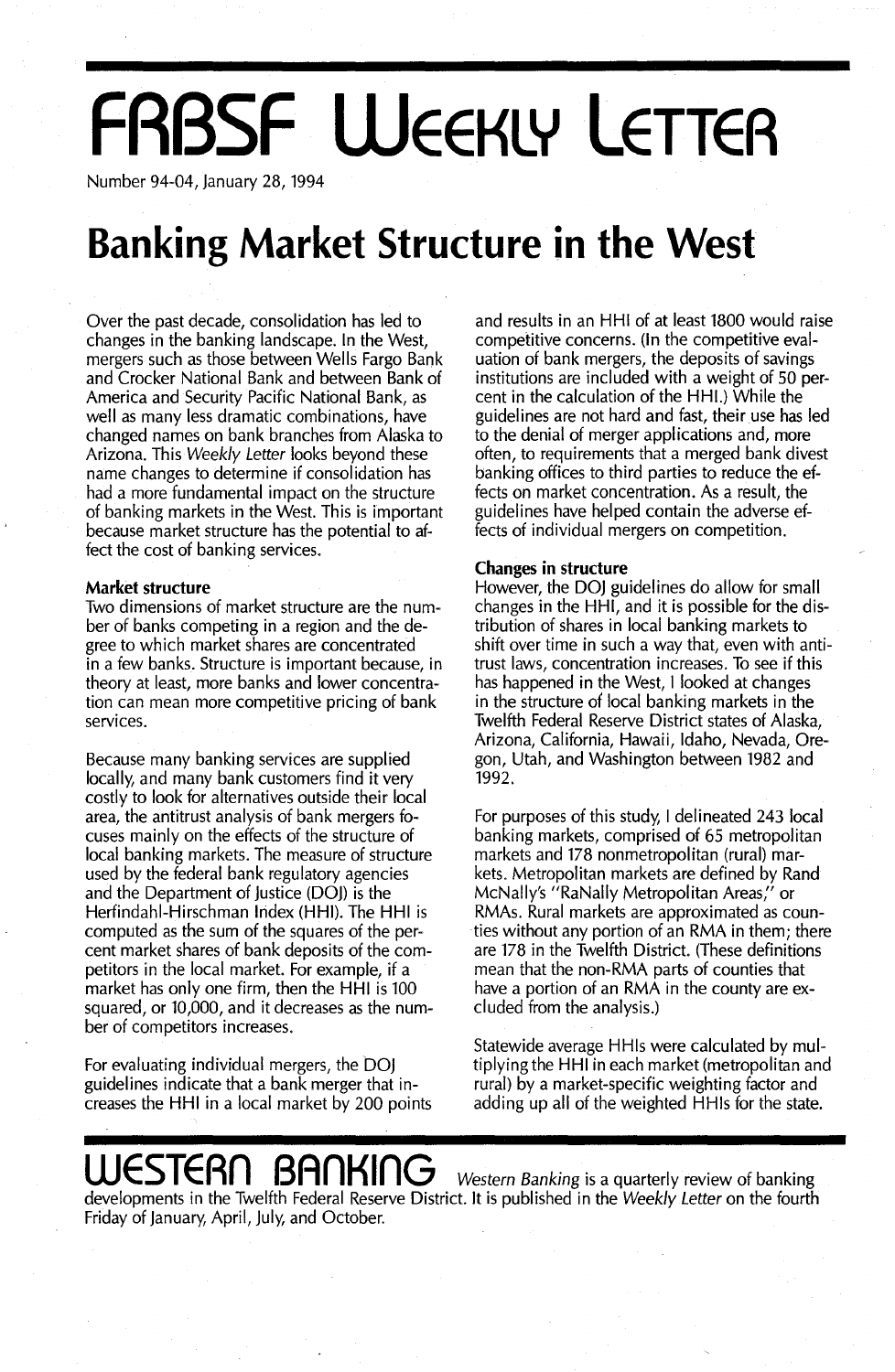# **FRBSF WEEKLY LETTER**

Number 94-04, january 28, 1994

### **Banking Market Structure in the West**

Over the past decade, consolidation has led to changes in the banking landscape. In the West, mergers such as those between Wells Fargo Bank and Crocker National Bank and between Bank of America and Security Pacific National Bank, as well as many less dramatic combinations, have changed names on bank branches from Alaska to Arizona. This *Weekly Letter* looks beyond these name changes to determine if consolidation has had a more fundamental impact on the structure of banking markets in the West. This is important because market structure has the potential to affect the cost of banking services.

#### **Market structure**

Two dimensions of market structure are the number of banks competing in a region and the degree to which market shares are concentrated in a few banks. Structure is important because, in theory at least, more banks and lower concentration can mean more competitive pricing of bank services.

Because many banking services are supplied locally, and many bank customers find it very costly to look for alternatives outside their local area, the antitrust analysis of bank mergers focuses mainly on the effects of the structure of local banking markets. The measure of structure used by the federal bank regulatory agencies and the Department of justice (DOj) is the Herfindahl-Hirschman Index (HHI). The HHI is computed as the sum of the squares of the percent market shares of bank deposits of the competitors in the local market. For example, if a market has only one firm, then the HHI is 100 squared, or 10,000, and it decreases as the number of competitors increases.

For evaluating individual mergers, the DOj guidelines indicate that a bank merger that increases the HHI in a local market by 200 points and results in an HHI of at least 1800 would raise competitive concerns. (In the competitive evaluation of bank mergers, the deposits of savings institutions are included with a weight of 50 percent in the calculation of the HHI.) While the guidelines are not hard and fast, their use has led to the denial of merger applications and, more often, to requirements that a merged bank divest banking offices to third parties to reduce the effects on market concentration. As a result, the guidelines have helped contain the adverse effects of individual mergers on competition.

#### **Changes in structure**

However, the DOj guidelines do allow for small changes in the HHI, and it is possible for the distribution of shares in local banking markets to shift over time in such a way that, even with antitrust laws, concentration increases. To see if this has happened in the West, I looked at changes in the structure of local banking markets in the Twelfth Federal Reserve District states of Alaska, Arizona, California, Hawaii, Idaho, Nevada, Oregon, Utah, and Washington between 1982 and 1992.

For purposes of this study, I delineated 243 local banking markets, comprised of 65 metropolitan markets and 178 nonmetropolitan (rural) markets. Metropolitan markets are defined by Rand McNally's "RaNally Metropolitan Areas;' or RMAs. Rural markets are approximated as counties without any portion of an RMA in them; there are 178 in the Twelfth District. (These definitions mean that the non-RMA parts of counties that have a portion of an RMA in the county are excluded from the analysis.)

Statewide average HHls were calculated by multiplying the HHI in each market (metropolitan and rural) by a market-specific weighting factor and adding up all of the weighted HHls for the state.

### **WESTERn BAnKinG** *Western Banking* is <sup>a</sup> quarterly review of banking

developments in the Twelfth Federal Reserve District. It is published in the *Weekly Letter* on the fourth Friday of january, April, july, and October.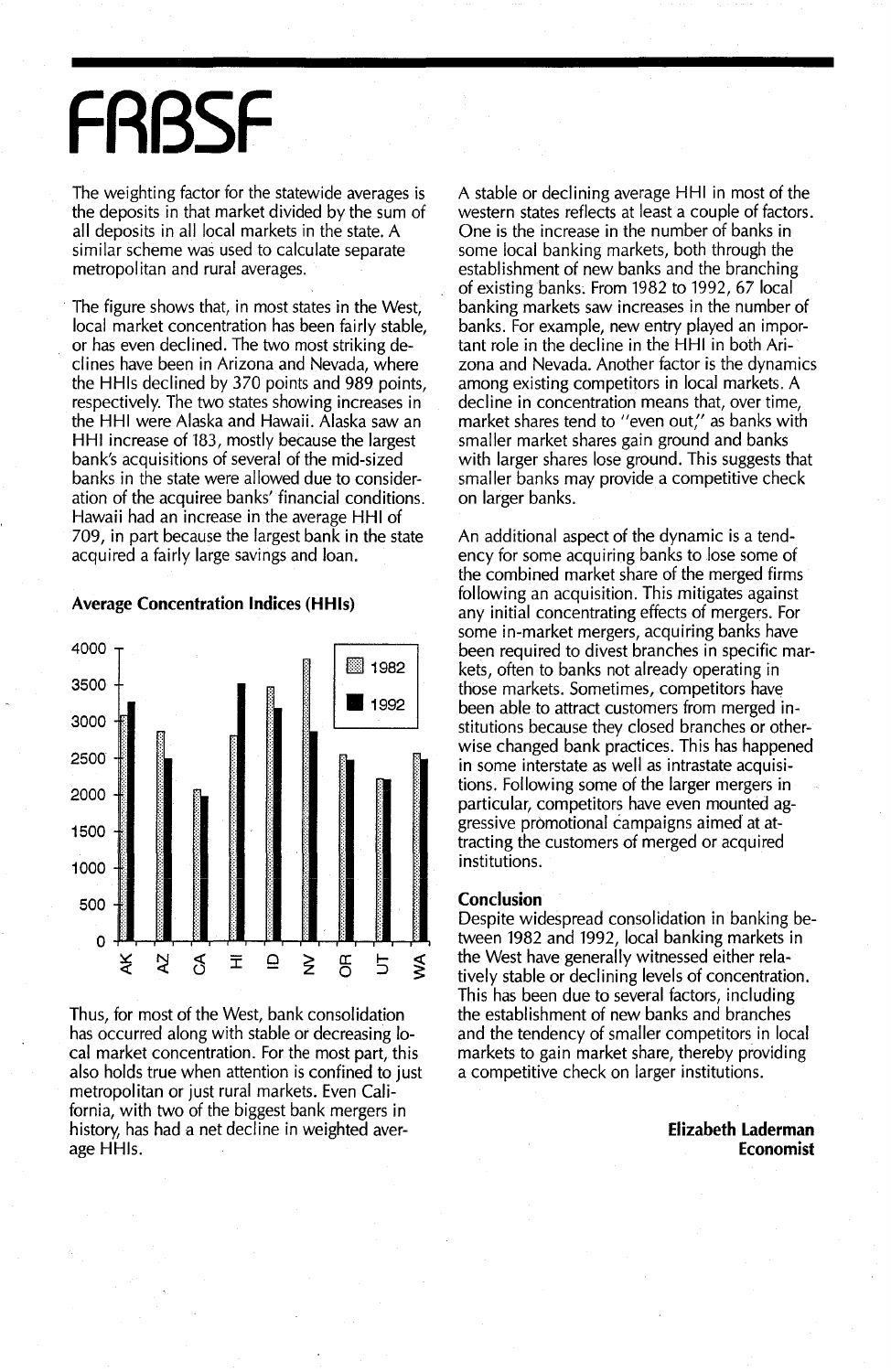# **FRBSF**

The weighting factor for the statewide averages is the deposits in that market divided by the sum of all deposits in all local markets in the state. A similar scheme was used to calculate separate metropolitan and rural averages.

The figure shows that, in most states in the West, local market concentration has been fairly stable, or has even declined. The two most striking declines have been in Arizona and Nevada, where the HHls declined by 370 points and 989 points, respectively. The two states showing increases in the HHI were Alaska and Hawaii. Alaska saw an HHI increase of 183, mostly because the largest bank's acquisitions of several of the mid-sized banks in the state were allowed due to consideration of the acquiree banks' financial conditions. Hawaii had an increase in the average HHI of 709, in part because the largest bank in the state acquired a fairly large savings and loan.



#### Average **Concentration Indices (HHls)**

Thus, for most of the West, bank consolidation has occurred along with stable or decreasing local market concentration. For the most part, this also holds true when attention is confined to just metropolitan or just rural markets. Even California, with two of the biggest bank mergers in history, has had a net decline in weighted average HHls.

A stable or declining average HHI in most of the western states reflects at least a couple of factors. One is the increase in the number of banks in some local banking markets, both through the establishment of new banks and the branching of existing banks. From 1982 to 1992, 67 local banking markets saw increases in the number of banks. For example, new entry played an important role in the decline in the HHI in both Arizona and Nevada. Another factor is the dynamics among existing competitors in local markets. A decline in concentration means that, over time, market shares tend to "even out," as banks with smaller market shares gain ground and banks with larger shares lose ground. This suggests that smaller banks may provide a competitive check on larger banks.

An additional aspect of the dynamic is a tendency for some acquiring banks to Jose some of the combined market share of the merged firms following an acquisition. This mitigates against any initial concentrating effects of mergers. For some in-market mergers, acquiring banks have been required to divest branches in specific markets, often to banks not already operating in those markets. Sometimes, competitors have been able to attract customers from merged institutions because they closed branches or otherwise changed bank practices. This has happened in some interstate as well as intrastate acquisitions. Following some of the larger mergers in particular, competitors have even mounted aggressive promotional campaigns aimed at attracting the customers of merged or acquired institutions.

#### **Conclusion**

Despite widespread consolidation in banking between 1982 and 1992, local banking markets in the West have generally witnessed either relatively stable or declining levels of concentration. This has been due to several factors, including the establishment of new banks and branches and the tendency of smaller competitors in local markets to gain market share, thereby providing a competitive check on larger institutions.

> **Elizabeth Laderman Economist**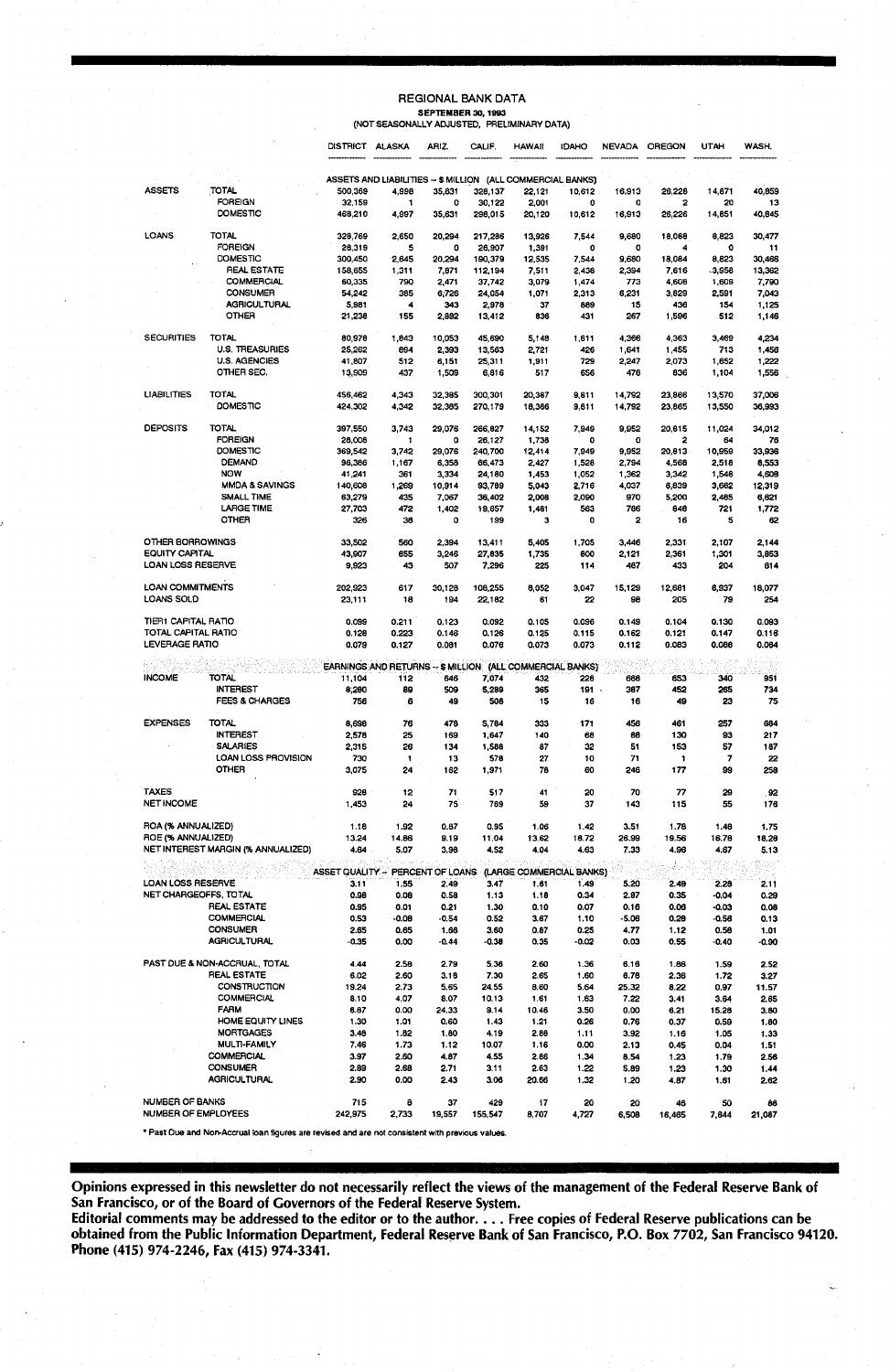#### REGIONAL BANK DATA **SEPTEMBER 30, 1993<br>(NOT SEASONALLY ADJUSTED, PRELIMINARY DATA)**

|                                            |                                    | <b>DISTRICT ALASKA</b>           |                                                             | ARIZ.           | CALIF.            | <b>HAWAII</b>            | <b>IDAHO</b>  |              | NEVADA OREGON | UTAH            | WASH.         |
|--------------------------------------------|------------------------------------|----------------------------------|-------------------------------------------------------------|-----------------|-------------------|--------------------------|---------------|--------------|---------------|-----------------|---------------|
|                                            |                                    |                                  | ASSETS AND LIABILITIES -- \$ MILLION (ALL COMMERCIAL BANKS) |                 |                   |                          |               |              |               |                 |               |
| <b>ASSETS</b>                              | <b>TOTAL</b>                       | 500,369                          | 4,998                                                       | 35,631          | 328,137           | 22,121                   | 10,612        | 16,913       | 26,228        | 14,871          | 40,859        |
|                                            | <b>FOREIGN</b>                     | 32,159                           | 1                                                           | 0               | 30,122            | 2,001                    | 0             | o            | 2             | 20              | 13            |
|                                            | DOMESTIC                           | 468,210                          | 4,997                                                       | 35,631          | 298,015           | 20,120                   | 10,612        | 16,913       | 26,226        | 14,851          | 40,845        |
| LOANS                                      | <b>TOTAL</b><br><b>FOREIGN</b>     | 328,769<br>28,319                | 2,650<br>5                                                  | 20,294<br>o     | 217,286<br>26,907 | 13,926                   | 7.544<br>0    | 9,680<br>o   | 18,088<br>4   | 8,823<br>0      | 30,477<br>11  |
|                                            | <b>DOMESTIC</b>                    | 300,450                          | 2,645                                                       | 20,294          | 190,379           | 1,391<br>12,535          | 7,544         | 9,680        | 18,084        | 8,823           | 30,466        |
|                                            | <b>REAL ESTATE</b>                 | 158,655                          | 1,311                                                       | 7,871           | 112,194           | 7,511                    | 2,438         | 2,394        | 7,616         | 3,958           | 13,362        |
|                                            | COMMERCIAL                         | 60,335                           | 790                                                         | 2,471           | 37,742            | 3,079                    | 1,474         | 773          | 4,608         | 1,609           | 7.790         |
|                                            | CONSUMER                           | 54,242                           | 385                                                         | 6,726           | 24,054            | 1,071                    | 2,313         | 6,231        | 3,829         | 2,591           | 7.043         |
|                                            | <b>AGRICULTURAL</b>                | 5,981                            | 4                                                           | 343             | 2,978             | 37                       | 889           | 15           | 436           | 154             | 1,125         |
|                                            | OTHER                              | 21,238                           | 155                                                         | 2,882           | 13,412            | 836                      | 431           | 267          | 1,596         | 512             | 1,146         |
| <b>SECURITIES</b>                          | <b>TOTAL</b>                       | 80,978                           | 1,843                                                       | 10,053          | 45,690            | 5,148                    | 1,811         | 4,366        | 4,363         | 3,469           | 4,234         |
|                                            | <b>U.S. TREASURIES</b>             | 25,262                           | 894                                                         | 2,393           | 13,563            | 2.721                    | 426           | 1,641        | 1,455         | 713             | 1,456         |
|                                            | <b>U.S. AGENCIES</b>               | 41,807                           | 512                                                         | 6,151           | 25,311            | 1,911                    | 729           | 2,247        | 2,073         | 1,652           | 1,222         |
|                                            | OTHER SEC.                         | 13,909                           | 437                                                         | 1,509           | 6,816             | 517                      | 656           | 478          | 836           | 1,104           | 1,556         |
| <b>LIABILITIES</b>                         | <b>TOTAL</b>                       | 456,462                          | 4,343                                                       | 32,385          | 300,301           | 20,387                   | 9,811         | 14,792       | 23,866        | 13,570          | 37.006        |
|                                            | DOMESTIC                           | 424,302                          | 4,342                                                       | 32,385          | 270,179           | 18,386                   | 9,611         | 14,792       | 23,865        | 13,550          | 36,993        |
| DEPOSITS                                   | <b>TOTAL</b>                       | 397,550                          | 3,743                                                       | 29,076          | 266,827           | 14,152                   | 7,949         | 9,952        | 20,815        | 11,024          | 34,012        |
|                                            | <b>FOREIGN</b>                     | 28,008                           | $\mathbf{1}$                                                | o               | 26,127            | 1,738                    | o             | O            | 2             | 64              | 76            |
|                                            | DOMESTIC                           | 369,542                          | 3,742                                                       | 29,076          | 240,700           | 12,414                   | 7,949         | 9,952        | 20,813        | 10,959          | 33,936        |
|                                            | <b>DEMAND</b>                      | 96,386                           | 1,167                                                       | 6,358           | 66,473            | 2,427                    | 1,528         | 2,794        | 4,568         | 2,518           | 8,553         |
|                                            | <b>NOW</b>                         | 41,241                           | 361                                                         | 3,334           | 24,180            | 1,453                    | 1,052         | 1,362        | 3,342         | 1,548           | 4,608         |
|                                            | <b>MMDA &amp; SAVINGS</b>          | 140,608                          | 1,269                                                       | 10,914          | 93,789            | 5,043                    | 2,716         | 4,037        | 6,839         | 3,682           | 12,319        |
|                                            | <b>SMALL TIME</b>                  | 63,279                           | 435                                                         | 7,067           | 36,402            | 2,008                    | 2,090         | 970          | 5,200         | 2,485           | 6,621         |
|                                            | <b>LARGE TIME</b><br>OTHER         | 27,703<br>326                    | 472<br>38                                                   | 1,402<br>0      | 19,657<br>199     | 1,481<br>3               | 563<br>0      | 766<br>2     | 848<br>16     | 721<br>5        | 1,772<br>62   |
|                                            |                                    |                                  |                                                             |                 |                   |                          |               |              |               |                 |               |
| OTHER BORROWINGS                           |                                    | 33,502                           | 560                                                         | 2,394           | 13,411            | 5,405                    | 1,705         | 3,446        | 2,331         | 2,107           | 2,144         |
| <b>EQUITY CAPITAL</b><br>LOAN LOSS RESERVE |                                    | 43,907<br>9,923                  | 655<br>43                                                   | 3.246<br>507    | 27,835<br>7,296   | 1,735<br>225             | 800<br>114    | 2,121<br>487 | 2,361<br>433  | 1,301<br>204    | 3,653<br>614  |
|                                            |                                    |                                  |                                                             |                 |                   |                          |               |              |               |                 |               |
| <b>LOAN COMMITMENTS</b><br>LOANS SOLD      |                                    | 202,923<br>23,111                | 617<br>18                                                   | 30,128<br>194   | 108,255<br>22,102 | 8,052<br>61              | 3,047<br>22   | 15.129<br>98 | 12,681<br>205 | 6,937<br>79     | 18,077<br>254 |
| TIER1 CAPITAL RATIO                        |                                    | 0.099                            | 0.211                                                       | 0.123           | 0.092             | 0.105                    | 0.096         | 0.149        | 0.104         | 0.130           | 0.093         |
| TOTAL CAPITAL RATIO                        |                                    | 0.129                            | 0.223                                                       | 0.146           | 0.126             | 0.125                    | 0.115         | 0.162        | 0.121         | 0.147           | 0.116         |
| <b>LEVERAGE RATIO</b>                      |                                    | 0.079                            | 0.127                                                       | 0.081           | 0.076             | 0.073                    | 0.073         | 0.112        | 0.083         | 0.088           | 0.084         |
|                                            |                                    |                                  |                                                             |                 |                   |                          |               |              |               |                 |               |
|                                            |                                    |                                  | EARNINGS AND RETURNS -- \$ MILLION (ALL COMMERCIAL BANKS)   |                 |                   |                          |               |              |               |                 |               |
| <b>INCOME</b>                              | <b>TOTAL</b>                       | 11,104                           | 112                                                         | 646             | 7,074             | 432                      | 226           | 668          | 653           | 340             | 951           |
|                                            | <b>INTEREST</b>                    | 8,280                            | 89                                                          | 509             | 5,289             | 365                      | 191           | 387          | 452           | 265             | 734           |
|                                            | <b>FEES &amp; CHARGES</b>          | 756                              | 6                                                           | 49              | 508               | 15                       | 16            | 16           | 49            | 23              | 75            |
| <b>EXPENSES</b>                            | <b>TOTAL</b>                       | 8,698                            | 76                                                          | 478             | 5,784             | 333                      | 171           | 456          | 461           | 257             | 684           |
|                                            | <b>INTEREST</b>                    | 2,578                            | 25                                                          | 169             | 1,647             | 140                      | 68            | 88           | 130           | 93              | 217           |
|                                            | <b>SALARIES</b>                    | 2,315                            | 26                                                          | 134             | 1,588             | 87                       | 32            | 51           | 153           | 57              | 187           |
|                                            | LOAN LOSS PROVISION                | 730                              | 1                                                           | 13              | 576               | 27                       | 10            | 71           | 1             | 7               | 22            |
|                                            | OTHER                              | 3,075                            | 24                                                          | 162             | 1,971             | 78                       | 60            | 246          | 177           | 99              | 258           |
| <b>TAXES</b>                               |                                    | 928                              | 12                                                          | 71              | 517               | 41                       | 50            | 70           | 77            | 29              | 92            |
| <b>NET INCOME</b>                          |                                    | 1,453                            | 24                                                          | 75              | 769               | 59                       | 37            | 143          | 115           | 55              | 176           |
| ROA (% ANNUALIZED)                         |                                    | 1.18                             | 1.92                                                        | 0.87            | 0.95              | 1.06                     | 1.42          | 3.51         | 1.78          | 1.46            | 1.75          |
| ROE (% ANNUALIZED)                         |                                    | 13.24                            | 14.86                                                       | 9.19            | 11.04             | 13.62                    | 18.72         | 26.99        | 19.56         | 16.78           | 18.28         |
|                                            | NET INTEREST MARGIN (% ANNUALIZED) | 4.64                             | 5.07                                                        | 3.96            | 4.52              | 4.04                     | 4.63          | 7.33         | 4.96          | 4.67            | 5.13          |
|                                            |                                    |                                  |                                                             |                 |                   |                          |               |              | 랑             |                 |               |
| <b>LOAN LOSS RESERVE</b>                   |                                    | ASSET QUALITY - PERCENT OF LOANS |                                                             |                 |                   | (LARGE COMMERCIAL BANKS) |               |              |               |                 |               |
|                                            |                                    | 3.11                             | 1.55                                                        | 2.49            | 3.47              | 1.61                     | 1.49          | 5.20         | 2.49          | 2.28            | 2.11          |
| NET CHARGEOFFS, TOTAL                      |                                    | 0.98                             | 0.08                                                        | 0.58            | 1.13              | 1.18                     | 0.34          | 2.87         | 0.35          | $-0.04$         | 0.29          |
|                                            | <b>REAL ESTATE</b>                 | 0.95                             | 0.01                                                        | 0.21            | 1.30              | 0.10                     | 0.07          | 0.16         | 0.06          | $-0.03$         | 0.08          |
|                                            | COMMERCIAL<br><b>CONSUMER</b>      | 0.53<br>2.65                     | -0.08<br>0.65                                               | -0.54           | 0.52<br>3.60      | 3.67                     | 1.10          | -5.06        | 0.28          | -0.56           | 0.13          |
|                                            | <b>AGRICULTURAL</b>                | $-0.35$                          | 0.00                                                        | 1.66<br>$-0.44$ | $-0.38$           | 0.87<br>0.35             | 0.25<br>-0.02 | 4.77<br>0.03 | 1.12<br>0.55  | 0.58<br>$-0.40$ | 1.01<br>-0.90 |
|                                            |                                    |                                  |                                                             |                 |                   |                          |               |              |               |                 |               |
|                                            | PAST DUE & NON-ACCRUAL, TOTAL      | 4.44                             | 2.58                                                        | 2.79            | 5.36              | 2.60                     | 1.36          | 6.16         | 1.86          | 1.59            | 2.52          |
|                                            | REAL ESTATE                        | 6.02                             | 2.60                                                        | 3.16            | 7.30              | 2.65                     | 1,60          | 6.78         | 2.36          | 1.72            | 3.27          |
|                                            | <b>CONSTRUCTION</b>                | 19.24                            | 2.73                                                        | 5.65            | 24.55             | 8.60                     | 5.64          | 25.32        | 8.22          | 0.97            | 11.57         |
|                                            | <b>COMMERCIAL</b>                  | 8.10                             | 4.07                                                        | 8.07            | 10.13             | 1.61                     | 1.63          | 7.22         | 3.41          | 3.64            | 2.65          |
|                                            | <b>FARM</b>                        | 8.87                             | 0.00                                                        | 24.33           | 9.14              | 10.46                    | 3.50          | 0.00         | 6.21          | 15.28           | 3.80          |
|                                            | HOME EQUITY LINES                  | 1.30                             | 1.01                                                        | 0.60            | 1.43              | 1.21                     | 0.26          | 0.76         | 0.37          | 0.59            | 1.80          |
|                                            | <b>MORTGAGES</b>                   | 3.48                             | 1.82                                                        | 1.80            | 4.19              | 2.88                     | 1.11          | 3.92         | 1.16          | 1.05            | 1.33          |
|                                            | MULTI-FAMILY                       | 7.46                             | 1.73                                                        | 1.12            | 10.07             | 1.16                     | 0.00          | 2.13         | 0.45          | 0.04            | 1.51          |
|                                            | <b>COMMERCIAL</b>                  | 3.97                             | 2.60                                                        | 4.87            | 4.55              | 2.86                     | 1.34          | 8.54         | 1.23          | 1.79            | 2.56          |
|                                            | CONSUMER                           | 2.89                             | 2.68                                                        | 2.71            | 3.11              | 2.63                     | 1.22          | 5.89         | 1.23          | 1.30            | 1.44          |
|                                            | <b>AGRICULTURAL</b>                | 2.90                             | 0.00                                                        | 2.43            | 3.06              | 20.66                    | 1,32          | 1.20         | 4.87          | 1.61            | 2.62          |
| <b>NUMBER OF BANKS</b>                     |                                    | 715                              | 8                                                           | 37              | 429               | 17                       | 20            | 20           | 46            | 50              | 88            |
| NUMBER OF EMPLOYEES                        |                                    | 242,975                          | 2,733                                                       | 19,557          | 155,547           | 8,707                    | 4,727         | 6,508        | 16,465        | 7,644           | 21,087        |

**• Past Due and** No~Accrualloan **figures are revised and are not consistent with previous values.**

Opinions expressed in this newsletter do not necessarily reflect the views of the management of the Federal Reserve Bank of **San Francisco, or of the Board of Governors of the Federal Reserve System.**

Editorial comments may be addressed to the editor or to the author. . . . Free copies of Federal Reserve publications can be obtained from the Public Information Department, Federal Reserve Bank of San Francisco, P.O. Box 7702, San Francisco 94120 **Phone (415) 974-2246, Fax (415) 974-3341.**